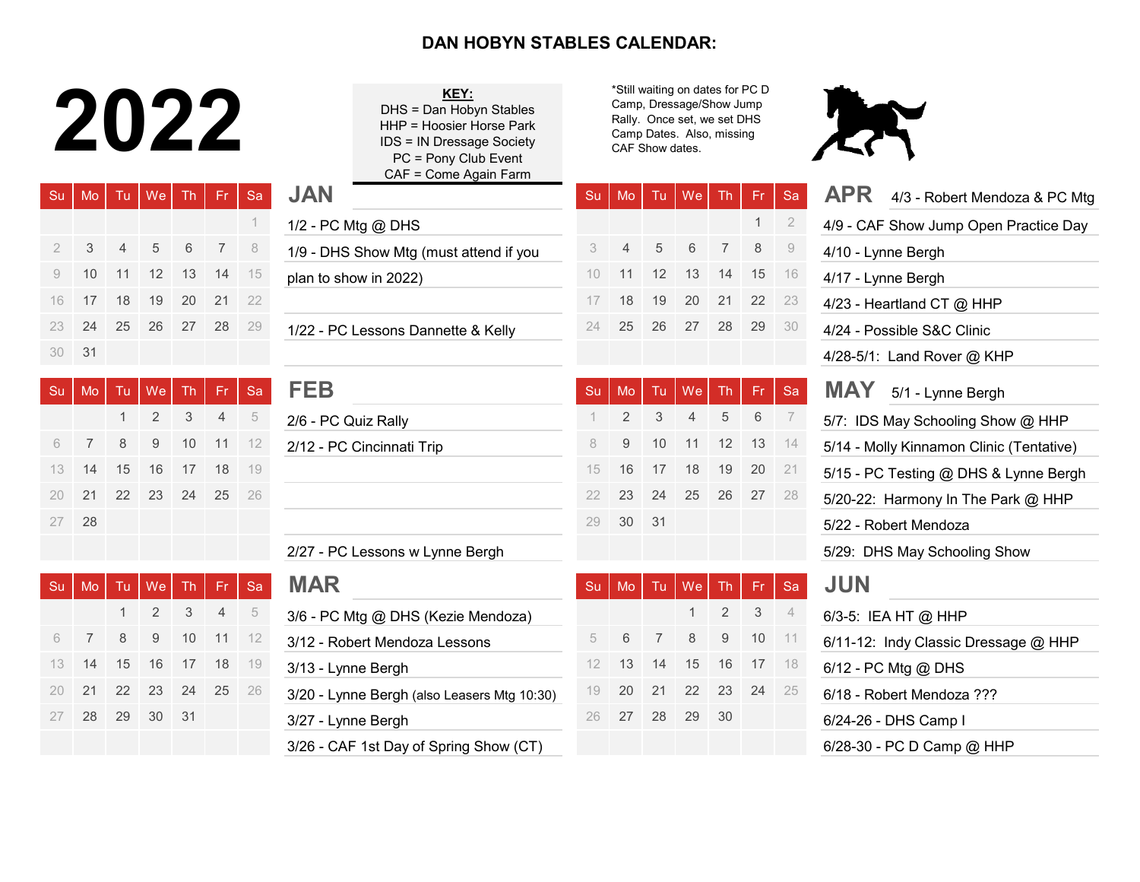## **DAN HOBYN STABLES CALENDAR:**

## 2022

| <b>Su</b> | Mo            | Tu. | We                | <b>Th</b> | -Fr            | Sa  | <b>JAN</b>                             | Su | M <sub>o</sub> | Tu. | We | <b>Th</b>       | Fr. | $\mathsf{S} \varepsilon$ |
|-----------|---------------|-----|-------------------|-----------|----------------|-----|----------------------------------------|----|----------------|-----|----|-----------------|-----|--------------------------|
|           |               |     |                   |           |                |     | 1/2 - PC Mtg @ DHS                     |    |                |     |    |                 |     | $\overline{2}$           |
|           | $\mathcal{S}$ | 4   | 5                 | 6         | $7\phantom{0}$ | - 8 | 1/9 - DHS Show Mtg (must attend if you |    | $\overline{4}$ | 5   | 6  | $7\overline{ }$ | 8   | - 9                      |
| 9         | 10            | 11  | $12 \overline{ }$ | 13        | $-14$          | 15  | plan to show in 2022)                  | 10 | 11             | 12  | 13 | 14              | 15  | - 16                     |
| 16        | 17            | 18  | 19                | 20        | 21             | 22  |                                        |    | 18             | 19  | 20 | 21              | 22  | 23                       |
| 23.       | 24            | 25  | 26                | 27        | 28             | 29  | 1/22 - PC Lessons Dannette & Kelly     | 24 | 25             | 26  | 27 | 28              | 29  | - 30                     |
| 30        | -31           |     |                   |           |                |     |                                        |    |                |     |    |                 |     |                          |

| -Su | Mo           |    | Tu   We   Th   |             | Fr.            | $\overline{\text{sa}}$ | <b>FEB</b>                | Su  | M <sub>O</sub> | Tu <sub>1</sub>         | We I           |                | Th Fr Sa |                |
|-----|--------------|----|----------------|-------------|----------------|------------------------|---------------------------|-----|----------------|-------------------------|----------------|----------------|----------|----------------|
|     |              | 1. |                | $2 \quad 3$ | 4 <sup>2</sup> | $-5$                   | 2/6 - PC Quiz Rally       |     | $\mathcal{P}$  | $\overline{\mathbf{3}}$ | $\overline{4}$ |                | 5 6      | $\overline{7}$ |
| 6   | <sup>7</sup> | 8  |                |             |                | 9 10 11 12             | 2/12 - PC Cincinnati Trip | 8   | - 9            | 10                      |                | $11 \t12 \t13$ |          | 14             |
| 13  | -14          | 15 | 16 17 18 19    |             |                |                        |                           | 15  | - 16           | 17 18                   |                | $19$ 20        |          | 21             |
| 20  | -21          |    | 22 23 24 25 26 |             |                |                        |                           | 22. |                |                         |                | 23 24 25 26 27 |          | 28             |
| 27  | -28          |    |                |             |                |                        |                           | 29  | 30             | 31                      |                |                |          |                |

| Su | Mo. | Tu.  | $We$ Th Fr |      |                | Sa    | <b>MAR</b>                                  | Su | Mo | Tu   | We    | Th.  | $Fr$ Sa |                |
|----|-----|------|------------|------|----------------|-------|---------------------------------------------|----|----|------|-------|------|---------|----------------|
|    |     |      |            | 2 3  | $\overline{4}$ | -5    | 3/6 - PC Mtg @ DHS (Kezie Mendoza)          |    |    |      |       | 2 3  |         | $\overline{4}$ |
|    |     | 8    | 9          | 10   | 11             | $-12$ | 3/12 - Robert Mendoza Lessons               |    | 6  |      | -8    | 9    | 10      | $-11$          |
| 13 | 14  | - 15 | 16         | -17  | 18             | - 19  | 3/13 - Lynne Bergh                          |    | 13 | 14   | 15    | 16   | 17      | - 18           |
| 20 | 21  |      | 22 23      | - 24 | 25             | 26    | 3/20 - Lynne Bergh (also Leasers Mtg 10:30) | 19 | 20 | - 21 | 22 23 |      | -24     | - 25           |
|    | 28  | 29   | 30         | - 31 |                |       | 3/27 - Lynne Bergh                          | 26 | 27 | 28   | 29    | - 30 |         |                |
|    |     |      |            |      |                |       | 3/26 - CAF 1st Day of Spring Show (CT)      |    |    |      |       |      |         |                |

| KEY:                             |
|----------------------------------|
| DHS = Dan Hobyn Stables          |
| HHP = Hoosier Horse Park         |
| <b>IDS = IN Dressage Society</b> |
| PC = Pony Club Event             |
| CAF = Come Again Farm            |
|                                  |

\*Still waiting on dates for PC D Camp, Dressage/Show Jump Rally. Once set, we set DHS Camp Dates. Also, missing CAF Show dates.



|   | Mo | Tu | We             | <b>Th</b> | Fr.            | <b>Sa</b> | <b>JAN</b>                                  | Su | Mo             | Tu | We        | Th             | Fr.                       | Sa                       | <b>APR</b><br>4/3 - Robert Mendoza & PC Mtg |
|---|----|----|----------------|-----------|----------------|-----------|---------------------------------------------|----|----------------|----|-----------|----------------|---------------------------|--------------------------|---------------------------------------------|
|   |    |    |                |           |                |           | 1/2 - PC Mtg @ DHS                          |    |                |    |           |                | $\mathbf{1}$              | $\overline{2}$           | 4/9 - CAF Show Jump Open Practice Day       |
|   | 3  | 4  | 5              | 6         |                | 8         | 1/9 - DHS Show Mtg (must attend if you      | 3  | $\overline{4}$ | 5  | 6         |                | 8                         | 9                        | 4/10 - Lynne Bergh                          |
|   | 10 | 11 | 12             | 13        | 14             | 15        | plan to show in 2022)                       | 10 | 11             | 12 | 13        | 14             | 15                        | 16                       | 4/17 - Lynne Bergh                          |
|   | 17 | 18 | 19             | 20        | 21             | 22        |                                             | 17 | 18             | 19 | 20        | 21             | 22                        | 23                       | 4/23 - Heartland CT @ HHP                   |
|   | 24 | 25 | 26             | 27        | 28             | 29        | 1/22 - PC Lessons Dannette & Kelly          | 24 | 25             | 26 | 27        | 28             | 29                        | 30                       | 4/24 - Possible S&C Clinic                  |
| Ω | 31 |    |                |           |                |           |                                             |    |                |    |           |                |                           |                          | 4/28-5/1: Land Rover @ KHP                  |
|   | Mo | Tu | We             | Th        | Fr             | Sa        | <b>FEB</b>                                  | Su | Mo             | Tu | <b>We</b> | Th             | Fr.                       | Sa                       | <b>MAY</b><br>5/1 - Lynne Bergh             |
|   |    |    | $\overline{2}$ | 3         | $\overline{4}$ | 5         | 2/6 - PC Quiz Rally                         |    | $\overline{2}$ | 3  |           | 5              | 6                         |                          | 5/7: IDS May Schooling Show @ HHP           |
|   | 7  | 8  | 9              | 10        | 11             | 12        | 2/12 - PC Cincinnati Trip                   | 8  | 9              | 10 | 11        | 12             | 13                        | 14                       | 5/14 - Molly Kinnamon Clinic (Tentative)    |
|   | 14 | 15 | 16             | 17        | 18             | 19        |                                             | 15 | 16             | 17 | 18        | 19             | 20                        | 21                       | 5/15 - PC Testing @ DHS & Lynne Bergh       |
|   | 21 | 22 | 23             | 24        | 25             | 26        |                                             | 22 | 23             | 24 | 25        | 26             | 27                        | 28                       | 5/20-22: Harmony In The Park @ HHP          |
|   | 28 |    |                |           |                |           |                                             | 29 | 30             | 31 |           |                |                           |                          | 5/22 - Robert Mendoza                       |
|   |    |    |                |           |                |           | 2/27 - PC Lessons w Lynne Bergh             |    |                |    |           |                |                           |                          | 5/29: DHS May Schooling Show                |
|   | Mo | Tu | We             | <b>Th</b> | Fr             | Sa        | <b>MAR</b>                                  | Su | Mo             | Tu | We        | <b>Th</b>      | Fr.                       | Sa                       | <b>JUN</b>                                  |
|   |    | 1  | $\overline{2}$ | 3         | $\overline{4}$ | 5         | 3/6 - PC Mtg @ DHS (Kezie Mendoza)          |    |                |    |           | $\overline{2}$ | $\ensuremath{\mathsf{3}}$ | $\overline{\mathcal{A}}$ | 6/3-5: IEA HT @ HHP                         |
|   |    | 8  | 9              | 10        | 11             | 12        | 3/12 - Robert Mendoza Lessons               | 5  | 6              |    | 8         | 9              | $10$                      | 11                       | 6/11-12: Indy Classic Dressage @ HHP        |
|   | 14 | 15 | 16             | 17        | 18             | 19        | 3/13 - Lynne Bergh                          | 12 | 13             | 14 | 15        | 16             | 17                        | 18                       | 6/12 - PC Mtg @ DHS                         |
|   | 21 | 22 | 23             | 24        | 25             | 26        | 3/20 - Lynne Bergh (also Leasers Mtg 10:30) | 19 | 20             | 21 | 22        | 23             | 24                        | 25                       | 6/18 - Robert Mendoza ???                   |
|   | 28 | 29 | 30             | 31        |                |           | 3/27 - Lynne Bergh                          | 26 | 27             | 28 | 29        | 30             |                           |                          | 6/24-26 - DHS Camp I                        |
|   |    |    |                |           |                |           | 3/26 - CAF 1st Day of Spring Show (CT)      |    |                |    |           |                |                           |                          | 6/28-30 - PC D Camp @ HHP                   |